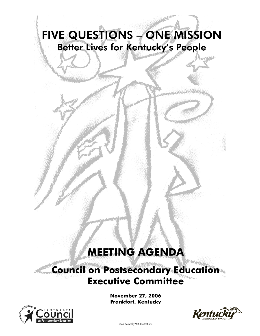# FIVE QUESTIONS – ONE MISSION Better Lives for Kentucky's People

## **MEETING AGENDA**

## **Council on Postsecondary Education Executive Committee**

**November 27, 2006 Frankfort, Kentucky**



j



Leon Zernitsky/SIS Illustrations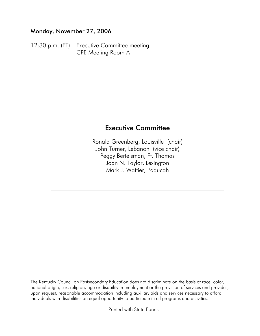#### Monday, November 27, 2006

12:30 p.m. (ET) Executive Committee meeting CPE Meeting Room A

### Executive Committee

Ronald Greenberg, Louisville (chair) John Turner, Lebanon (vice chair) Peggy Bertelsman, Ft. Thomas Joan N. Taylor, Lexington Mark J. Wattier, Paducah

The Kentucky Council on Postsecondary Education does not discriminate on the basis of race, color, national origin, sex, religion, age or disability in employment or the provision of services and provides, upon request, reasonable accommodation including auxiliary aids and services necessary to afford individuals with disabilities an equal opportunity to participate in all programs and activities.

Printed with State Funds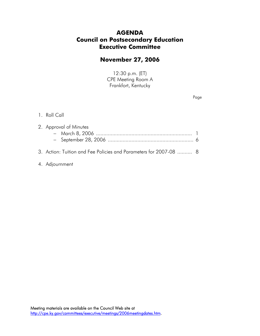#### **AGENDA Council on Postsecondary Education Executive Committee**

#### **November 27, 2006**

12:30 p.m. (ET) CPE Meeting Room A Frankfort, Kentucky

Page

#### 1. Roll Call

| 2. Approval of Minutes |                                                                   |  |  |  |
|------------------------|-------------------------------------------------------------------|--|--|--|
|                        |                                                                   |  |  |  |
|                        |                                                                   |  |  |  |
|                        | 3. Action: Tuition and Fee Policies and Parameters for 2007-08  8 |  |  |  |

4. Adjournment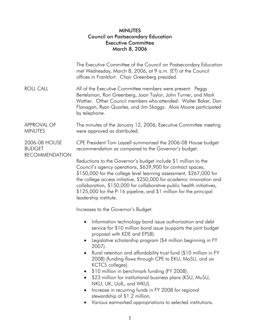#### MINUTES Council on Postsecondary Education Executive Committee March 8, 2006

|                                                         | The Executive Committee of the Council on Postsecondary Education<br>met Wednesday, March 8, 2006, at 9 a.m. (ET) at the Council<br>offices in Frankfort. Chair Greenberg presided.                                                                                                                                                                                                                                                                                                                                                                                                                                                                                                                |  |  |  |  |
|---------------------------------------------------------|----------------------------------------------------------------------------------------------------------------------------------------------------------------------------------------------------------------------------------------------------------------------------------------------------------------------------------------------------------------------------------------------------------------------------------------------------------------------------------------------------------------------------------------------------------------------------------------------------------------------------------------------------------------------------------------------------|--|--|--|--|
| <b>ROLL CALL</b>                                        | All of the Executive Committee members were present: Peggy<br>Bertelsman, Ron Greenberg, Joan Taylor, John Turner, and Mark<br>Wattier. Other Council members who attended: Walter Baker, Dan<br>Flanagan, Ryan Quarles, and Jim Skaggs. Alois Moore participated<br>by telephone.                                                                                                                                                                                                                                                                                                                                                                                                                 |  |  |  |  |
| <b>APPROVAL OF</b><br><b>MINUTES</b>                    | The minutes of the January 12, 2006, Executive Committee meeting<br>were approved as distributed.                                                                                                                                                                                                                                                                                                                                                                                                                                                                                                                                                                                                  |  |  |  |  |
| 2006-08 HOUSE<br><b>BUDGET</b><br><b>RECOMMENDATION</b> | CPE President Tom Layzell summarized the 2006-08 House budget<br>recommendation as compared to the Governor's budget.                                                                                                                                                                                                                                                                                                                                                                                                                                                                                                                                                                              |  |  |  |  |
|                                                         | Reductions to the Governor's budget include \$1 million to the<br>Council's agency operations, \$639,900 for contract spaces,<br>\$150,000 for the college level learning assessment, \$267,000 for<br>the college access initiative, \$250,000 for academic innovation and<br>collaboration, \$150,000 for collaborative public health initiatives,<br>\$125,000 for the P-16 pipeline, and \$1 million for the principal<br>leadership institute.                                                                                                                                                                                                                                                |  |  |  |  |
|                                                         | Increases to the Governor's Budget:                                                                                                                                                                                                                                                                                                                                                                                                                                                                                                                                                                                                                                                                |  |  |  |  |
|                                                         | Information technology bond issue authorization and debt<br>service for \$10 million bond issue (supports the joint budget<br>proposal with KDE and EPSB).<br>Legislative scholarship program (\$4 million beginning in FY<br>2007).<br>Rural retention and affordability trust fund (\$10 million in FY<br>2008) (funding flows through CPE to EKU, MoSU, and six<br>KCTCS colleges).<br>\$10 million in benchmark funding (FY 2008).<br>\$23 million for institutional business plans (KSU, MuSU,<br>NKU, UK, UofL, and WKU).<br>Increase in recurring funds in FY 2008 for regional<br>$\bullet$<br>stewardship of \$1.2 million.<br>Various earmarked appropriations to selected institutions. |  |  |  |  |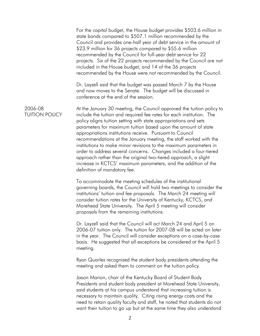For the capital budget, the House budget provides \$503.6 million in state bonds compared to \$507.1 million recommended by the Council and provides one-half year of debt service in the amount of \$23.9 million for 36 projects compared to \$55.6 million recommended by the Council for full-year debt service for 22 projects. Six of the 22 projects recommended by the Council are not included in the House budget, and 14 of the 36 projects recommended by the House were not recommended by the Council. Dr. Layzell said that the budget was passed March 7 by the House and now moves to the Senate. The budget will be discussed in conference at the end of the session. 2006-08 TUITION POLICY At the January 30 meeting, the Council approved the tuition policy to include the tuition and required fee rates for each institution. The policy aligns tuition setting with state appropriations and sets parameters for maximum tuition based upon the amount of state appropriations institutions receive. Pursuant to Council recommendations at the January meeting, the staff worked with the institutions to make minor revisions to the maximum parameters in order to address several concerns. Changes included a four-tiered approach rather than the original two-tiered approach, a slight increase in KCTCS' maximum parameters, and the addition of the definition of mandatory fee. To accommodate the meeting schedules of the institutional governing boards, the Council will hold two meetings to consider the institutions' tuition and fee proposals. The March 24 meeting will consider tuition rates for the University of Kentucky, KCTCS, and Morehead State University. The April 5 meeting will consider proposals from the remaining institutions. Dr. Layzell said that the Council will act March 24 and April 5 on 2006-07 tuition only. The tuition for 2007-08 will be acted on later in the year. The Council will consider exceptions on a case-by-case basis. He suggested that all exceptions be considered at the April 5 meeting. Ryan Quarles recognized the student body presidents attending the meeting and asked them to comment on the tuition policy. Jason Marion, chair of the Kentucky Board of Student Body Presidents and student body president at Morehead State University, said students at his campus understand that increasing tuition is necessary to maintain quality. Citing rising energy costs and the need to retain quality faculty and staff, he noted that students do not want their tuition to go up but at the same time they also understand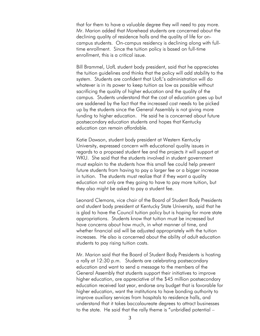that for them to have a valuable degree they will need to pay more. Mr. Marion added that Morehead students are concerned about the declining quality of residence halls and the quality of life for oncampus students. On-campus residency is declining along with fulltime enrollment. Since the tuition policy is based on full-time enrollment, this is a critical issue.

 Bill Brammel, UofL student body president, said that he appreciates the tuition guidelines and thinks that the policy will add stability to the system. Students are confident that UofL's administration will do whatever is in its power to keep tuition as low as possible without sacrificing the quality of higher education and the quality of the campus. Students understand that the cost of education goes up but are saddened by the fact that the increased cost needs to be picked up by the students since the General Assembly is not giving more funding to higher education. He said he is concerned about future postsecondary education students and hopes that Kentucky education can remain affordable.

 Katie Dawson, student body president at Western Kentucky University, expressed concern with educational quality issues in regards to a proposed student fee and the projects it will support at WKU. She said that the students involved in student government must explain to the students how this small fee could help prevent future students from having to pay a larger fee or a bigger increase in tuition. The students must realize that if they want a quality education not only are they going to have to pay more tuition, but they also might be asked to pay a student fee.

 Leonard Clemons, vice chair of the Board of Student Body Presidents and student body president at Kentucky State University, said that he is glad to have the Council tuition policy but is hoping for more state appropriations. Students know that tuition must be increased but have concerns about how much, in what manner of time, and whether financial aid will be adjusted appropriately with the tuition increases. He also is concerned about the ability of adult education students to pay rising tuition costs.

 Mr. Marion said that the Board of Student Body Presidents is hosting a rally at 12:30 p.m. Students are celebrating postsecondary education and want to send a message to the members of the General Assembly that students support their initiatives to improve higher education, are appreciative of the \$45 million postsecondary education received last year, endorse any budget that is favorable for higher education, want the institutions to have bonding authority to improve auxiliary services from hospitals to residence halls, and understand that it takes baccalaureate degrees to attract businesses to the state. He said that the rally theme is "unbridled potential –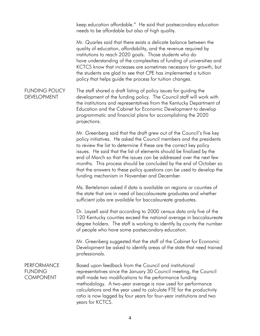keep education affordable." He said that postsecondary education needs to be affordable but also of high quality.

 Mr. Quarles said that there exists a delicate balance between the quality of education, affordability, and the revenue required by institutions to reach 2020 goals. Those students who do have understanding of the complexities of funding of universities and KCTCS know that increases are sometimes necessary for growth, but the students are glad to see that CPE has implemented a tuition policy that helps guide the process for tuition changes.

FUNDING POLICY DEVELOPMENT The staff shared a draft listing of policy issues for guiding the development of the funding policy. The Council staff will work with the institutions and representatives from the Kentucky Department of Education and the Cabinet for Economic Development to develop programmatic and financial plans for accomplishing the 2020 projections.

> Mr. Greenberg said that the draft grew out of the Council's five key policy initiatives. He asked the Council members and the presidents to review the list to determine if these are the correct key policy issues. He said that the list of elements should be finalized by the end of March so that the issues can be addressed over the next few months. This process should be concluded by the end of October so that the answers to these policy questions can be used to develop the funding mechanism in November and December.

 Ms. Bertelsman asked if data is available on regions or counties of the state that are in need of baccalaureate graduates and whether sufficient jobs are available for baccalaureate graduates.

 Dr. Layzell said that according to 2000 census data only five of the 120 Kentucky counties exceed the national average in baccalaureate degree holders. The staff is working to identify by county the number of people who have some postsecondary education.

 Mr. Greenberg suggested that the staff of the Cabinet for Economic Development be asked to identify areas of the state that need trained professionals.

PERFORMANCE FUNDING COMPONENT Based upon feedback from the Council and institutional representatives since the January 30 Council meeting, the Council staff made two modifications to the performance funding methodology. A two-year average is now used for performance calculations and the year used to calculate FTE for the productivity ratio is now lagged by four years for four-year institutions and two years for KCTCS.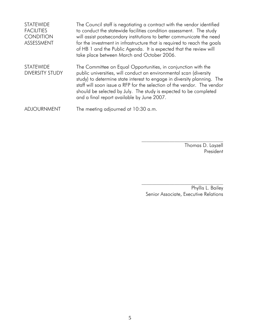| <b>STATEWIDE</b><br><b>FACILITIES</b><br><b>CONDITION</b><br>ASSESSMENT | The Council staff is negotiating a contract with the vendor identified<br>to conduct the statewide facilities condition assessment. The study<br>will assist postsecondary institutions to better communicate the need<br>for the investment in infrastructure that is required to reach the goals<br>of HB 1 and the Public Agenda. It is expected that the review will<br>take place between March and October 2006. |
|-------------------------------------------------------------------------|------------------------------------------------------------------------------------------------------------------------------------------------------------------------------------------------------------------------------------------------------------------------------------------------------------------------------------------------------------------------------------------------------------------------|
| <b>STATEWIDE</b><br><b>DIVERSITY STUDY</b>                              | The Committee on Equal Opportunities, in conjunction with the<br>public universities, will conduct an environmental scan (diversity<br>study) to determine state interest to engage in diversity planning. The<br>staff will soon issue a RFP for the selection of the vendor. The vendor<br>should be selected by July. The study is expected to be completed<br>and a final report available by June 2007.           |
| <b>ADJOURNMENT</b>                                                      | The meeting adjourned at 10:30 a.m.                                                                                                                                                                                                                                                                                                                                                                                    |

Thomas D. Layzell President

Phyllis L. Bailey Senior Associate, Executive Relations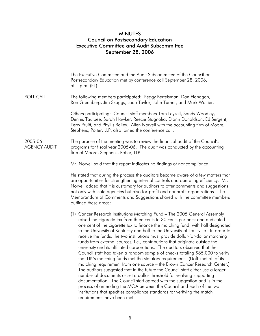#### MINUTES Council on Postsecondary Education Executive Committee and Audit Subcommittee September 28, 2006

|                                | The Executive Committee and the Audit Subcommittee of the Council on<br>Postsecondary Education met by conference call September 28, 2006,<br>at 1 p.m. (ET).                                                                                                                                                                                                                                                                                                                                                                                                                                                                                                                                                                                                                                                                                                                                                                                                                                                                                                                                                                                                                                                                                                   |  |  |  |  |
|--------------------------------|-----------------------------------------------------------------------------------------------------------------------------------------------------------------------------------------------------------------------------------------------------------------------------------------------------------------------------------------------------------------------------------------------------------------------------------------------------------------------------------------------------------------------------------------------------------------------------------------------------------------------------------------------------------------------------------------------------------------------------------------------------------------------------------------------------------------------------------------------------------------------------------------------------------------------------------------------------------------------------------------------------------------------------------------------------------------------------------------------------------------------------------------------------------------------------------------------------------------------------------------------------------------|--|--|--|--|
| <b>ROLL CALL</b>               | The following members participated: Peggy Bertelsman, Dan Flanagan,<br>Ron Greenberg, Jim Skaggs, Joan Taylor, John Turner, and Mark Wattier.                                                                                                                                                                                                                                                                                                                                                                                                                                                                                                                                                                                                                                                                                                                                                                                                                                                                                                                                                                                                                                                                                                                   |  |  |  |  |
|                                | Others participating: Council staff members Tom Layzell, Sandy Woodley,<br>Dennis Taulbee, Sarah Hawker, Reecie Stagnolia, Diann Donaldson, Ed Sergent,<br>Terry Pruitt, and Phyllis Bailey. Allen Norvell with the accounting firm of Moore,<br>Stephens, Potter, LLP, also joined the conference call.                                                                                                                                                                                                                                                                                                                                                                                                                                                                                                                                                                                                                                                                                                                                                                                                                                                                                                                                                        |  |  |  |  |
| 2005-06<br><b>AGENCY AUDIT</b> | The purpose of the meeting was to review the financial audit of the Council's<br>programs for fiscal year 2005-06. The audit was conducted by the accounting<br>firm of Moore, Stephens, Potter, LLP.                                                                                                                                                                                                                                                                                                                                                                                                                                                                                                                                                                                                                                                                                                                                                                                                                                                                                                                                                                                                                                                           |  |  |  |  |
|                                | Mr. Norvell said that the report indicates no findings of noncompliance.                                                                                                                                                                                                                                                                                                                                                                                                                                                                                                                                                                                                                                                                                                                                                                                                                                                                                                                                                                                                                                                                                                                                                                                        |  |  |  |  |
|                                | He stated that during the process the auditors became aware of a few matters that<br>are opportunities for strengthening internal controls and operating efficiency. Mr.<br>Norvell added that it is customary for auditors to offer comments and suggestions,<br>not only with state agencies but also for-profit and nonprofit organizations. The<br>Memorandum of Comments and Suggestions shared with the committee members<br>outlined these areas:                                                                                                                                                                                                                                                                                                                                                                                                                                                                                                                                                                                                                                                                                                                                                                                                        |  |  |  |  |
|                                | (1) Cancer Research Institutions Matching Fund - The 2005 General Assembly<br>raised the cigarette tax from three cents to 30 cents per pack and dedicated<br>one cent of the cigarette tax to finance the matching fund, with half designated<br>to the University of Kentucky and half to the University of Louisville. In order to<br>receive the funds, the two institutions must provide dollar-for-dollar matching<br>funds from external sources, i.e., contributions that originate outside the<br>university and its affiliated corporations. The auditors observed that the<br>Council staff had taken a random sample of checks totaling \$85,000 to verify<br>that UK's matching funds met the statutory requirement. (UofL met all of its<br>matching requirement from one source - the Brown Cancer Research Center.)<br>The auditors suggested that in the future the Council staff either use a larger<br>number of documents or set a dollar threshold for verifying supporting<br>documentation. The Council staff agreed with the suggestion and is in the<br>process of amending the MOA between the Council and each of the two<br>institutions that specifies compliance standards for verifying the match<br>requirements have been met. |  |  |  |  |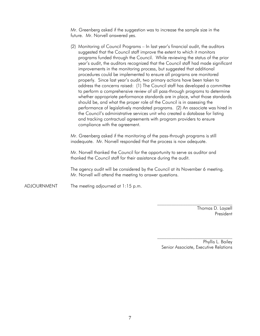Mr. Greenberg asked if the suggestion was to increase the sample size in the future. Mr. Norvell answered yes.

 (2) Monitoring of Council Programs – In last year's financial audit, the auditors suggested that the Council staff improve the extent to which it monitors programs funded through the Council. While reviewing the status of the prior year's audit, the auditors recognized that the Council staff had made significant improvements in the monitoring process, but suggested that additional procedures could be implemented to ensure all programs are monitored properly. Since last year's audit, two primary actions have been taken to address the concerns raised: (1) The Council staff has developed a committee to perform a comprehensive review of all pass-through programs to determine whether appropriate performance standards are in place, what those standards should be, and what the proper role of the Council is in assessing the performance of legislatively mandated programs. (2) An associate was hired in the Council's administrative services unit who created a database for listing and tracking contractual agreements with program providers to ensure compliance with the agreement.

 Mr. Greenberg asked if the monitoring of the pass-through programs is still inadequate. Mr. Norvell responded that the process is now adequate.

 Mr. Norvell thanked the Council for the opportunity to serve as auditor and thanked the Council staff for their assistance during the audit.

 The agency audit will be considered by the Council at its November 6 meeting. Mr. Norvell will attend the meeting to answer questions.

ADJOURNMENT The meeting adjourned at 1:15 p.m.

Thomas D. Layzell President

Phyllis L. Bailey Senior Associate, Executive Relations

 $\mathcal{L}_\text{max}$ 

 $\mathcal{L}_\text{max}$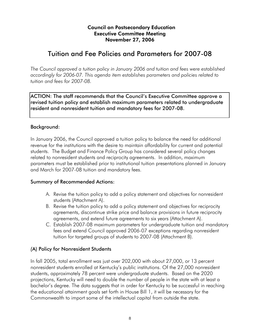#### Council on Postsecondary Education Executive Committee Meeting November 27, 2006

### Tuition and Fee Policies and Parameters for 2007-08

*The Council approved a tuition policy in January 2006 and tuition and fees were established accordingly for 2006-07. This agenda item establishes parameters and policies related to tuition and fees for 2007-08.* 

ACTION: The staff recommends that the Council's Executive Committee approve a revised tuition policy and establish maximum parameters related to undergraduate resident and nonresident tuition and mandatory fees for 2007-08.

#### Background:

In January 2006, the Council approved a tuition policy to balance the need for additional revenue for the institutions with the desire to maintain affordability for current and potential students. The Budget and Finance Policy Group has considered several policy changes related to nonresident students and reciprocity agreements. In addition, maximum parameters must be established prior to institutional tuition presentations planned in January and March for 2007-08 tuition and mandatory fees.

#### Summary of Recommended Actions:

- A. Revise the tuition policy to add a policy statement and objectives for nonresident students (Attachment A).
- B. Revise the tuition policy to add a policy statement and objectives for reciprocity agreements, discontinue strike price and balance provisions in future reciprocity agreements, and extend future agreements to six years (Attachment A).
- C. Establish 2007-08 maximum parameters for undergraduate tuition and mandatory fees and extend Council approved 2006-07 exceptions regarding nonresident tuition for targeted groups of students to 2007-08 (Attachment B).

#### *(*A) Policy for Nonresident Students

In fall 2005, total enrollment was just over 202,000 with about 27,000, or 13 percent nonresident students enrolled at Kentucky's public institutions. Of the 27,000 nonresident students, approximately 78 percent were undergraduate students. Based on the 2020 projections, Kentucky will need to double the number of people in the state with at least a bachelor's degree. The data suggests that in order for Kentucky to be successful in reaching the educational attainment goals set forth in House Bill 1, it will be necessary for the Commonwealth to import some of the intellectual capital from outside the state.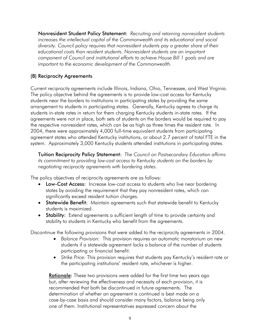Nonresident Student Policy Statement: *Recruiting and retaining nonresident students increases the intellectual capital of the Commonwealth and its educational and social diversity. Council policy requires that nonresident students pay a greater share of their educational costs than resident students. Nonresident students are an important component of Council and institutional efforts to achieve House Bill 1 goals and are important to the economic development of the Commonwealth.* 

#### (B) Reciprocity Agreements

Current reciprocity agreements include Illinois, Indiana, Ohio, Tennessee, and West Virginia. The policy objective behind the agreements is to provide low-cost access for Kentucky students near the borders to institutions in participating states by providing the same arrangement to students in participating states. Generally, Kentucky agrees to charge its students in-state rates in return for them charging Kentucky students in-state rates. If the agreements were not in place, both sets of students on the borders would be required to pay the respective nonresident rates, which can be as high as three times the resident rate. In 2004, there were approximately 4,000 full-time equivalent students from participating agreement states who attended Kentucky institutions, or about 2.7 percent of total FTE in the system. Approximately 3,000 Kentucky students attended institutions in participating states.

Tuition Reciprocity Policy Statement: *The Council on Postsecondary Education affirms its commitment to providing low-cost access to Kentucky students on the borders by negotiating reciprocity agreements with bordering states.* 

The policy objectives of reciprocity agreements are as follows:

- Low-Cost Access: Increase low-cost access to students who live near bordering states by avoiding the requirement that they pay nonresident rates, which can significantly exceed resident tuition charges.
- Statewide Benefit: Maintain agreements such that statewide benefit to Kentucky students is maximized.
- Stability: Extend agreements a sufficient length of time to provide certainty and stability to students in Kentucky who benefit from the agreements.

Discontinue the following provisions that were added to the reciprocity agreements in 2004.

- *Balance Provision*: This provision requires an automatic moratorium on new students if a statewide agreement lacks a balance of the number of students participating or financial benefit.
- *Strike Price:* This provision requires that students pay Kentucky's resident rate or the participating institutions' resident rate, whichever is higher.

**Rationale:** These two provisions were added for the first time two years ago but, after reviewing the effectiveness and necessity of each provision, it is recommended that both be discontinued in future agreements. The determination of whether an agreement is continued is best made on a case-by-case basis and should consider many factors, balance being only one of them. Institutional representatives expressed concern about the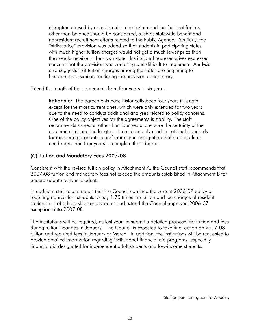disruption caused by an automatic moratorium and the fact that factors other than balance should be considered, such as statewide benefit and nonresident recruitment efforts related to the Public Agenda. Similarly, the "strike price" provision was added so that students in participating states with much higher tuition charges would not get a much lower price than they would receive in their own state. Institutional representatives expressed concern that the provision was confusing and difficult to implement. Analysis also suggests that tuition charges among the states are beginning to become more similar, rendering the provision unnecessary.

Extend the length of the agreements from four years to six years.

**Rationale:** The agreements have historically been four years in length except for the most current ones, which were only extended for two years due to the need to conduct additional analyses related to policy concerns. One of the policy objectives for the agreements is stability. The staff recommends six years rather than four years to ensure the certainty of the agreements during the length of time commonly used in national standards for measuring graduation performance in recognition that most students need more than four years to complete their degree.

#### (C) Tuition and Mandatory Fees 2007-08

Consistent with the revised tuition policy in Attachment A, the Council staff recommends that 2007-08 tuition and mandatory fees not exceed the amounts established in Attachment B for undergraduate resident students.

In addition, staff recommends that the Council continue the current 2006-07 policy of requiring nonresident students to pay 1.75 times the tuition and fee charges of resident students net of scholarships or discounts and extend the Council approved 2006-07 exceptions into 2007-08.

The institutions will be required, as last year, to submit a detailed proposal for tuition and fees during tuition hearings in January. The Council is expected to take final action on 2007-08 tuition and required fees in January or March. In addition, the institutions will be requested to provide detailed information regarding institutional financial aid programs, especially financial aid designated for independent adult students and low-income students.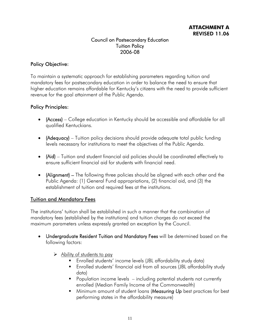#### Council on Postsecondary Education Tuition Policy 2006-08

#### Policy Objective:

To maintain a systematic approach for establishing parameters regarding tuition and mandatory fees for postsecondary education in order to balance the need to ensure that higher education remains affordable for Kentucky's citizens with the need to provide sufficient revenue for the goal attainment of the Public Agenda.

#### Policy Principles:

- (Access) College education in Kentucky should be accessible and affordable for all qualified Kentuckians.
- **(Adequacy)** Tuition policy decisions should provide adequate total public funding levels necessary for institutions to meet the objectives of the Public Agenda.
- (Aid) Tuition and student financial aid policies should be coordinated effectively to ensure sufficient financial aid for students with financial need.
- (Alignment) The following three policies should be aligned with each other and the Public Agenda: (1) General Fund appropriations, (2) financial aid, and (3) the establishment of tuition and required fees at the institutions.

#### Tuition and Mandatory Fees

The institutions' tuition shall be established in such a manner that the combination of mandatory fees (established by the institutions) and tuition charges do not exceed the maximum parameters unless expressly granted an exception by the Council.

- Undergraduate Resident Tuition and Mandatory Fees will be determined based on the following factors:
	- $\triangleright$  Ability of students to pay
		- Enrolled students' income levels (JBL affordability study data)
		- Enrolled students' financial aid from all sources (JBL affordability study data)
		- **Population income levels** including potential students not currently enrolled (Median Family Income of the Commonwealth)
		- Minimum amount of student loans (*Measuring Up* best practices for best performing states in the affordability measure)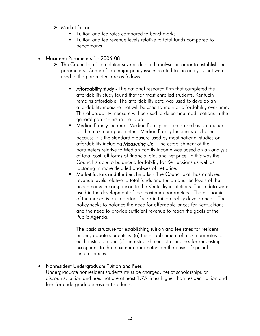#### ¾ Market factors

- Tuition and fee rates compared to benchmarks
- Tuition and fee revenue levels relative to total funds compared to benchmarks

#### • Maximum Parameters for 2006-08

- $\triangleright$  The Council staff completed several detailed analyses in order to establish the parameters. Some of the major policy issues related to the analysis that were used in the parameters are as follows:
	- Affordability study The national research firm that completed the affordability study found that for most enrolled students, Kentucky remains affordable. The affordability data was used to develop an affordability measure that will be used to monitor affordability over time. This affordability measure will be used to determine modifications in the general parameters in the future.
	- Median Family Income Median Family Income is used as an anchor for the maximum parameters. Median Family Income was chosen because it is the standard measure used by most national studies on affordability including *Measuring Up*. The establishment of the parameters relative to Median Family Income was based on an analysis of total cost, all forms of financial aid, and net price. In this way the Council is able to balance affordability for Kentuckians as well as factoring in more detailed analyses of net price.
	- Market factors and the benchmarks The Council staff has analyzed revenue levels relative to total funds and tuition and fee levels of the benchmarks in comparison to the Kentucky institutions. These data were used in the development of the maximum parameters. The economics of the market is an important factor in tuition policy development. The policy seeks to balance the need for affordable prices for Kentuckians and the need to provide sufficient revenue to reach the goals of the Public Agenda.

The basic structure for establishing tuition and fee rates for resident undergraduate students is: (a) the establishment of maximum rates for each institution and (b) the establishment of a process for requesting exceptions to the maximum parameters on the basis of special circumstances.

#### • Nonresident Undergraduate Tuition and Fees

Undergraduate nonresident students must be charged, net of scholarships or discounts, tuition and fees that are at least 1.75 times higher than resident tuition and fees for undergraduate resident students.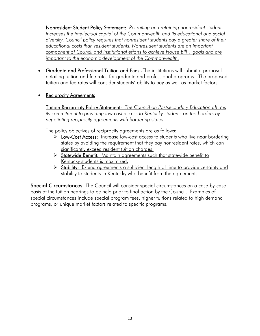Nonresident Student Policy Statement: *Recruiting and retaining nonresident students increases the intellectual capital of the Commonwealth and its educational and social diversity. Council policy requires that nonresident students pay a greater share of their educational costs than resident students. Nonresident students are an important component of Council and institutional efforts to achieve House Bill 1 goals and are important to the economic development of the Commonwealth.*

- Graduate and Professional Tuition and Fees -The institutions will submit a proposal detailing tuition and fee rates for graduate and professional programs. The proposed tuition and fee rates will consider students' ability to pay as well as market factors.
- Reciprocity Agreements

Tuition Reciprocity Policy Statement: *The Council on Postsecondary Education affirms its commitment to providing low-cost access to Kentucky students on the borders by negotiating reciprocity agreements with bordering states.* 

The policy objectives of reciprocity agreements are as follows:

- ¾ Low-Cost Access: Increase low-cost access to students who live near bordering states by avoiding the requirement that they pay nonresident rates, which can significantly exceed resident tuition charges.
- ¾ Statewide Benefit: Maintain agreements such that statewide benefit to Kentucky students is maximized.
- ▶ Stability: Extend agreements a sufficient length of time to provide certainty and stability to students in Kentucky who benefit from the agreements.

Special Circumstances -The Council will consider special circumstances on a case-by-case basis at the tuition hearings to be held prior to final action by the Council. Examples of special circumstances include special program fees, higher tuitions related to high demand programs, or unique market factors related to specific programs.